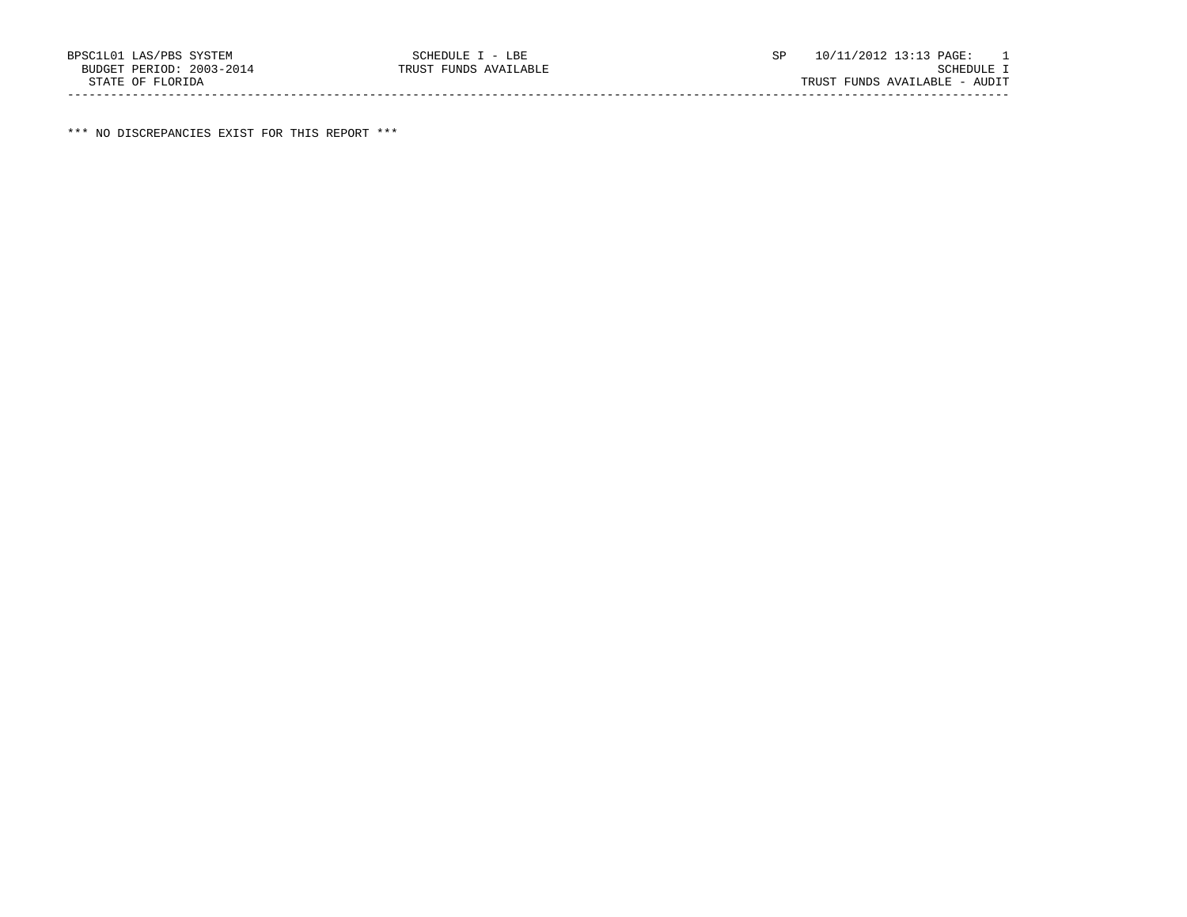\*\*\* NO DISCREPANCIES EXIST FOR THIS REPORT \*\*\*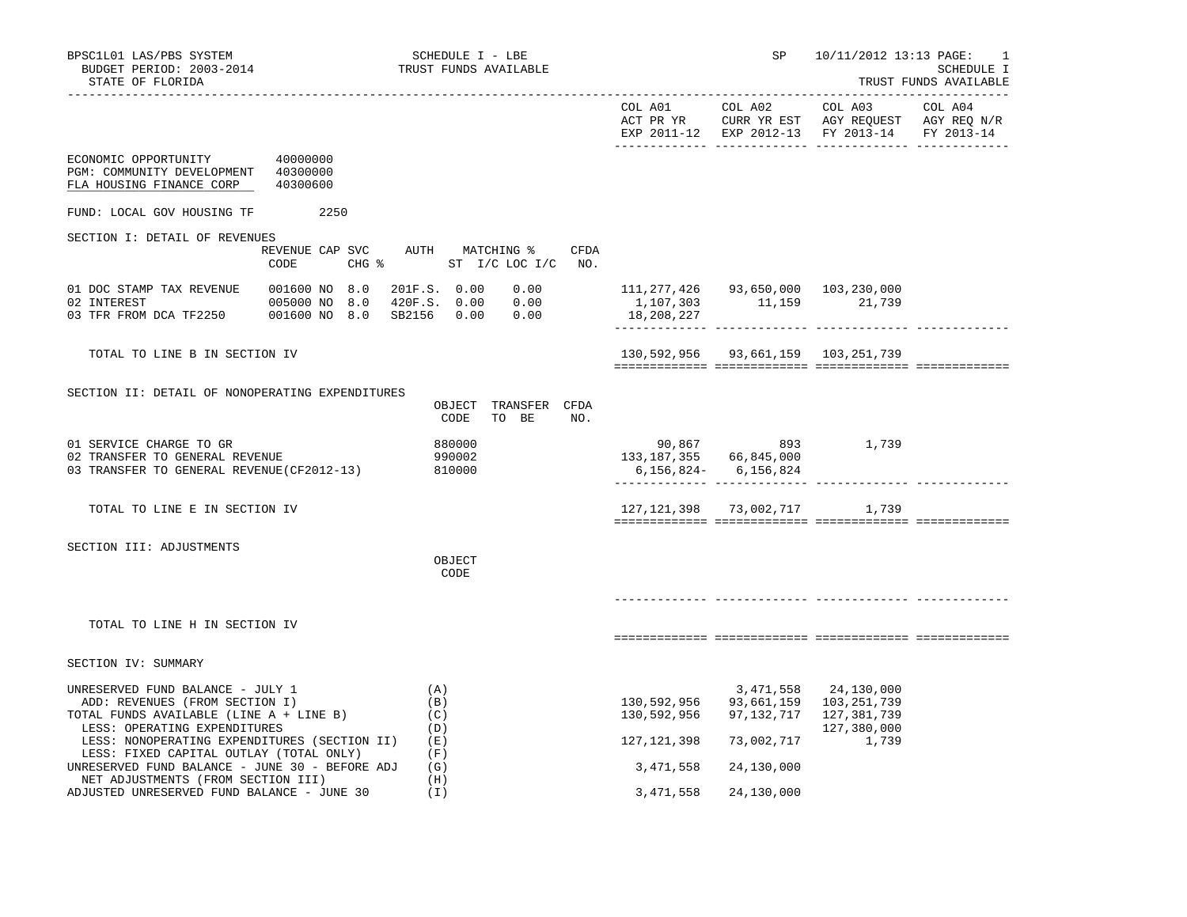| BPSC1L01 LAS/PBS SYSTEM<br>BUDGET PERIOD: 2003-2014<br>STATE OF FLORIDA                                                                       | SCHEDULE I - LBE<br>TRUST FUNDS AVAILABLE |                                                     |                                                  | SP                                              | 10/11/2012 13:13 PAGE:<br>1<br>SCHEDULE I<br>TRUST FUNDS AVAILABLE                   |                       |
|-----------------------------------------------------------------------------------------------------------------------------------------------|-------------------------------------------|-----------------------------------------------------|--------------------------------------------------|-------------------------------------------------|--------------------------------------------------------------------------------------|-----------------------|
|                                                                                                                                               |                                           |                                                     | COL A01<br>ACT PR YR                             | COL A02                                         | COL A03<br>CURR YR EST AGY REQUEST AGY REQ N/R<br>EXP 2011-12 EXP 2012-13 FY 2013-14 | COL A04<br>FY 2013-14 |
| ECONOMIC OPPORTUNITY 40000000<br>PGM: COMMUNITY DEVELOPMENT 40300000<br>FLA HOUSING FINANCE CORP                                              | 40300600                                  |                                                     |                                                  |                                                 |                                                                                      |                       |
| FUND: LOCAL GOV HOUSING TF                                                                                                                    | 2250                                      |                                                     |                                                  |                                                 |                                                                                      |                       |
| SECTION I: DETAIL OF REVENUES                                                                                                                 |                                           |                                                     |                                                  |                                                 |                                                                                      |                       |
|                                                                                                                                               | REVENUE CAP SVC<br>CODE                   | AUTH MATCHING %<br>CFDA<br>CHG % ST I/C LOC I/C NO. |                                                  |                                                 |                                                                                      |                       |
| 01 DOC STAMP TAX REVENUE<br>02 INTEREST<br>03 TFR FROM DCA TF2250 001600 NO 8.0                                                               | 001600 NO 8.0<br>005000 NO 8.0            | 201F.S. 0.00 0.00                                   | 111,277,426 93,650,000 103,230,000<br>18,208,227 | 1,107,303 11,159 21,739                         |                                                                                      |                       |
| TOTAL TO LINE B IN SECTION IV                                                                                                                 |                                           |                                                     |                                                  | 130,592,956 93,661,159 103,251,739              |                                                                                      |                       |
| SECTION II: DETAIL OF NONOPERATING EXPENDITURES                                                                                               |                                           | OBJECT<br>TRANSFER CFDA<br>TO BE<br>CODE<br>NO.     |                                                  |                                                 |                                                                                      |                       |
| 01 SERVICE CHARGE TO GR<br>02 TRANSFER TO GENERAL REVENUE<br>03 TRANSFER TO GENERAL REVENUE (CF2012-13)                                       |                                           | 880000<br>990002<br>810000                          | 133, 187, 355 66, 845, 000                       | 90,867 893 1,739<br>$6, 156, 824 - 6, 156, 824$ |                                                                                      |                       |
| TOTAL TO LINE E IN SECTION IV                                                                                                                 |                                           |                                                     |                                                  | 127, 121, 398 73, 002, 717 1, 739               |                                                                                      |                       |
| SECTION III: ADJUSTMENTS                                                                                                                      |                                           | OBJECT<br>CODE                                      |                                                  |                                                 |                                                                                      |                       |
| TOTAL TO LINE H IN SECTION IV                                                                                                                 |                                           |                                                     |                                                  |                                                 |                                                                                      |                       |
| SECTION IV: SUMMARY                                                                                                                           |                                           |                                                     |                                                  |                                                 |                                                                                      |                       |
| UNRESERVED FUND BALANCE - JULY 1<br>ADD: REVENUES (FROM SECTION I)<br>TOTAL FUNDS AVAILABLE (LINE A + LINE B)<br>LESS: OPERATING EXPENDITURES |                                           | (A)<br>(B)<br>(C)<br>(D)                            | 130,592,956                                      | 130,592,956 97,132,717 127,381,739              | 3,471,558 24,130,000<br>93,661,159 103,251,739<br>127,380,000                        |                       |
| LESS: NONOPERATING EXPENDITURES (SECTION II)<br>LESS: FIXED CAPITAL OUTLAY (TOTAL ONLY)                                                       |                                           | (E)<br>(F)                                          | 127,121,398                                      | 73,002,717                                      | 1,739                                                                                |                       |
| UNRESERVED FUND BALANCE - JUNE 30 - BEFORE ADJ<br>NET ADJUSTMENTS (FROM SECTION III)                                                          |                                           | (G)<br>(H)                                          | 3,471,558                                        | 24,130,000                                      |                                                                                      |                       |

ADJUSTED UNRESERVED FUND BALANCE - JUNE 30 (I) 3,471,558 24,130,000